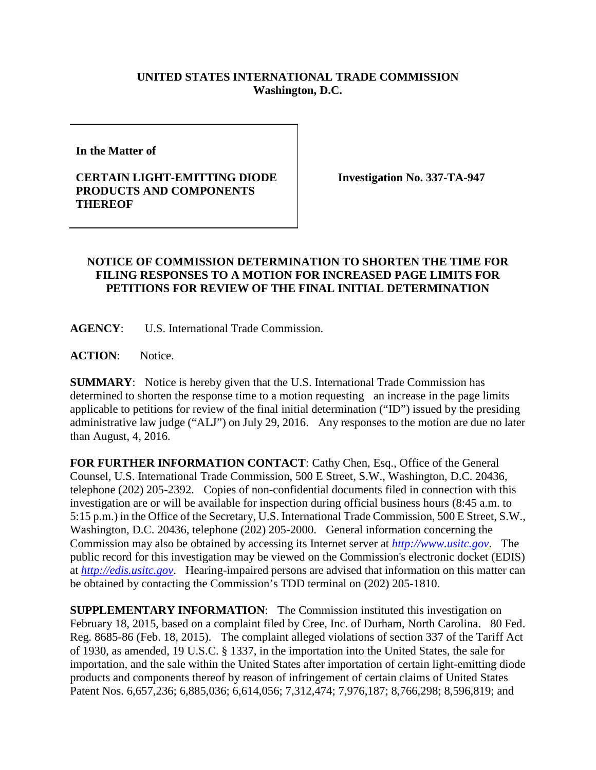## **UNITED STATES INTERNATIONAL TRADE COMMISSION Washington, D.C.**

**In the Matter of** 

## **CERTAIN LIGHT-EMITTING DIODE PRODUCTS AND COMPONENTS THEREOF**

**Investigation No. 337-TA-947**

## **NOTICE OF COMMISSION DETERMINATION TO SHORTEN THE TIME FOR FILING RESPONSES TO A MOTION FOR INCREASED PAGE LIMITS FOR PETITIONS FOR REVIEW OF THE FINAL INITIAL DETERMINATION**

**AGENCY**: U.S. International Trade Commission.

**ACTION**: Notice.

**SUMMARY**: Notice is hereby given that the U.S. International Trade Commission has determined to shorten the response time to a motion requesting an increase in the page limits applicable to petitions for review of the final initial determination ("ID") issued by the presiding administrative law judge ("ALJ") on July 29, 2016. Any responses to the motion are due no later than August, 4, 2016.

**FOR FURTHER INFORMATION CONTACT**: Cathy Chen, Esq., Office of the General Counsel, U.S. International Trade Commission, 500 E Street, S.W., Washington, D.C. 20436, telephone (202) 205-2392. Copies of non-confidential documents filed in connection with this investigation are or will be available for inspection during official business hours (8:45 a.m. to 5:15 p.m.) in the Office of the Secretary, U.S. International Trade Commission, 500 E Street, S.W., Washington, D.C. 20436, telephone (202) 205-2000. General information concerning the Commission may also be obtained by accessing its Internet server at *[http://www.usitc.gov](http://www.usitc.gov/)*. The public record for this investigation may be viewed on the Commission's electronic docket (EDIS) at *[http://edis.usitc.gov](http://edis.usitc.gov/)*. Hearing-impaired persons are advised that information on this matter can be obtained by contacting the Commission's TDD terminal on (202) 205-1810.

**SUPPLEMENTARY INFORMATION:** The Commission instituted this investigation on February 18, 2015, based on a complaint filed by Cree, Inc. of Durham, North Carolina. 80 Fed. Reg. 8685-86 (Feb. 18, 2015). The complaint alleged violations of section 337 of the Tariff Act of 1930, as amended, 19 U.S.C. § 1337, in the importation into the United States, the sale for importation, and the sale within the United States after importation of certain light-emitting diode products and components thereof by reason of infringement of certain claims of United States Patent Nos. 6,657,236; 6,885,036; 6,614,056; 7,312,474; 7,976,187; 8,766,298; 8,596,819; and